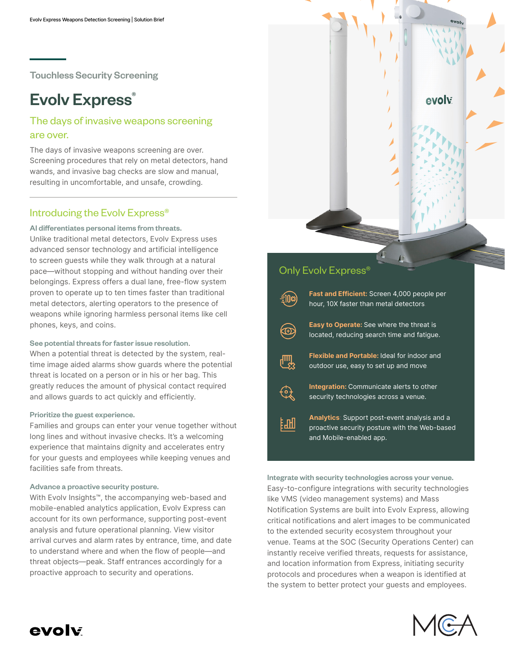Touchless Security Screening

# **Evolv Express®**

## The days of invasive weapons screening are over.

The days of invasive weapons screening are over. Screening procedures that rely on metal detectors, hand wands, and invasive bag checks are slow and manual, resulting in uncomfortable, and unsafe, crowding.

### Introducing the Evolv Express®

#### AI differentiates personal items from threats.

Unlike traditional metal detectors, Evolv Express uses advanced sensor technology and artificial intelligence to screen guests while they walk through at a natural pace—without stopping and without handing over their belongings. Express offers a dual lane, free-flow system proven to operate up to ten times faster than traditional metal detectors, alerting operators to the presence of weapons while ignoring harmless personal items like cell phones, keys, and coins.

#### See potential threats for faster issue resolution.

When a potential threat is detected by the system, realtime image aided alarms show guards where the potential threat is located on a person or in his or her bag. This greatly reduces the amount of physical contact required and allows guards to act quickly and efficiently.

#### Prioritize the guest experience.

Families and groups can enter your venue together without long lines and without invasive checks. It's a welcoming experience that maintains dignity and accelerates entry for your guests and employees while keeping venues and facilities safe from threats.

#### Advance a proactive security posture.

With Evolv Insights™, the accompanying web-based and mobile-enabled analytics application, Evolv Express can account for its own performance, supporting post-event analysis and future operational planning. View visitor arrival curves and alarm rates by entrance, time, and date to understand where and when the flow of people—and threat objects—peak. Staff entrances accordingly for a proactive approach to security and operations.



Integrate with security technologies across your venue. Easy-to-configure integrations with security technologies like VMS (video management systems) and Mass Notification Systems are built into Evolv Express, allowing critical notifications and alert images to be communicated to the extended security ecosystem throughout your venue. Teams at the SOC (Security Operations Center) can instantly receive verified threats, requests for assistance, and location information from Express, initiating security protocols and procedures when a weapon is identified at the system to better protect your guests and employees.